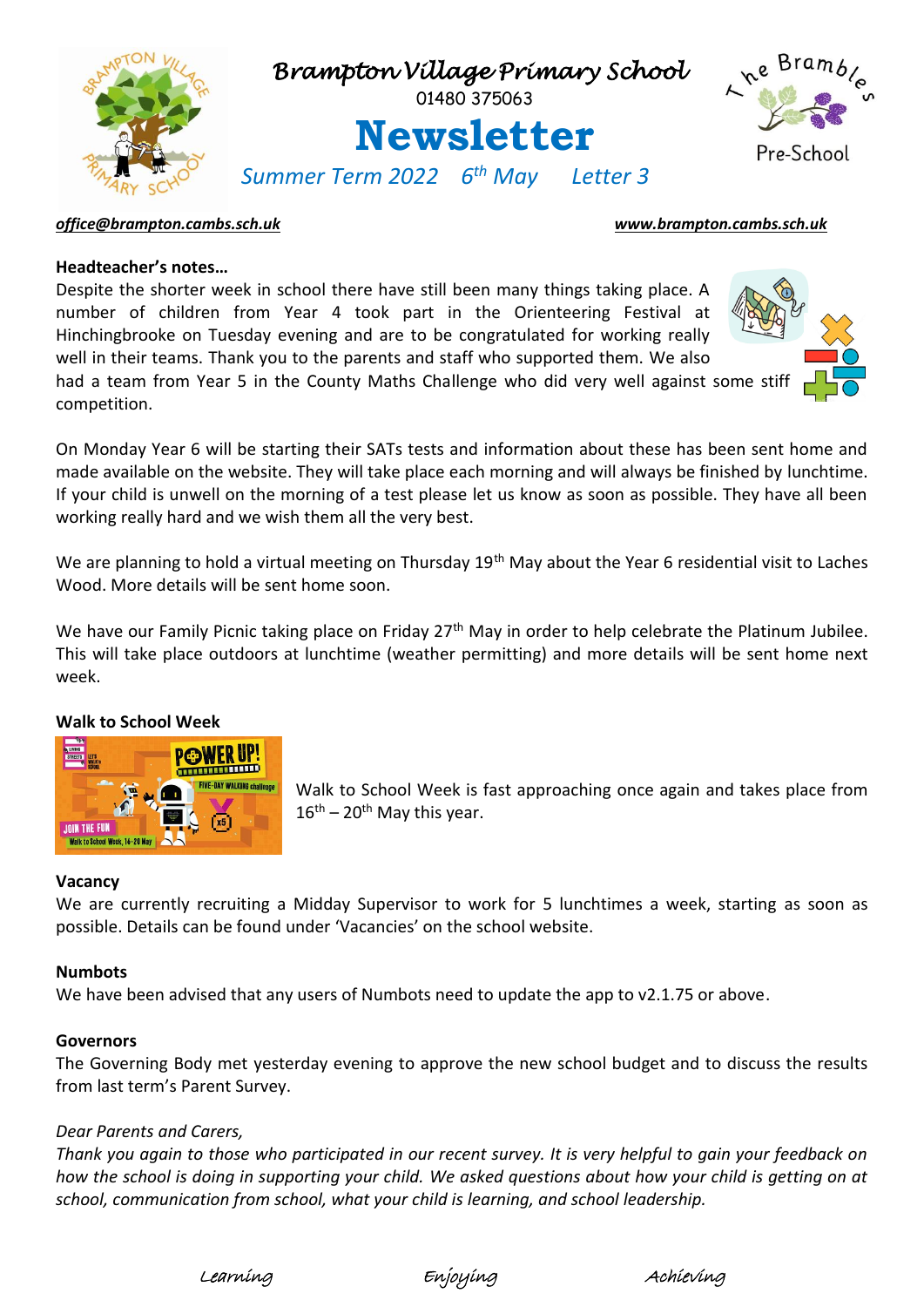

### *[office@brampton.cambs.sch.uk](mailto:office@brampton.cambs.sch.uk) [www.brampton.cambs.sch.uk](http://www.brampton.cambs.sch.uk/)*

### **Headteacher's notes…**

Despite the shorter week in school there have still been many things taking place. A number of children from Year 4 took part in the Orienteering Festival at Hinchingbrooke on Tuesday evening and are to be congratulated for working really well in their teams. Thank you to the parents and staff who supported them. We also

had a team from Year 5 in the County Maths Challenge who did very well against some stiff competition.

On Monday Year 6 will be starting their SATs tests and information about these has been sent home and made available on the website. They will take place each morning and will always be finished by lunchtime. If your child is unwell on the morning of a test please let us know as soon as possible. They have all been working really hard and we wish them all the very best.

We are planning to hold a virtual meeting on Thursday 19<sup>th</sup> May about the Year 6 residential visit to Laches Wood. More details will be sent home soon.

We have our Family Picnic taking place on Friday 27<sup>th</sup> May in order to help celebrate the Platinum Jubilee. This will take place outdoors at lunchtime (weather permitting) and more details will be sent home next week.

### **Walk to School Week**



Walk to School Week is fast approaching once again and takes place from  $16<sup>th</sup> - 20<sup>th</sup>$  May this year.

# **Vacancy**

We are currently recruiting a Midday Supervisor to work for 5 lunchtimes a week, starting as soon as possible. Details can be found under 'Vacancies' on the school website.

### **Numbots**

We have been advised that any users of Numbots need to update the app to v2.1.75 or above.

### **Governors**

The Governing Body met yesterday evening to approve the new school budget and to discuss the results from last term's Parent Survey.

### *Dear Parents and Carers,*

*Thank you again to those who participated in our recent survey. It is very helpful to gain your feedback on how the school is doing in supporting your child. We asked questions about how your child is getting on at school, communication from school, what your child is learning, and school leadership.*